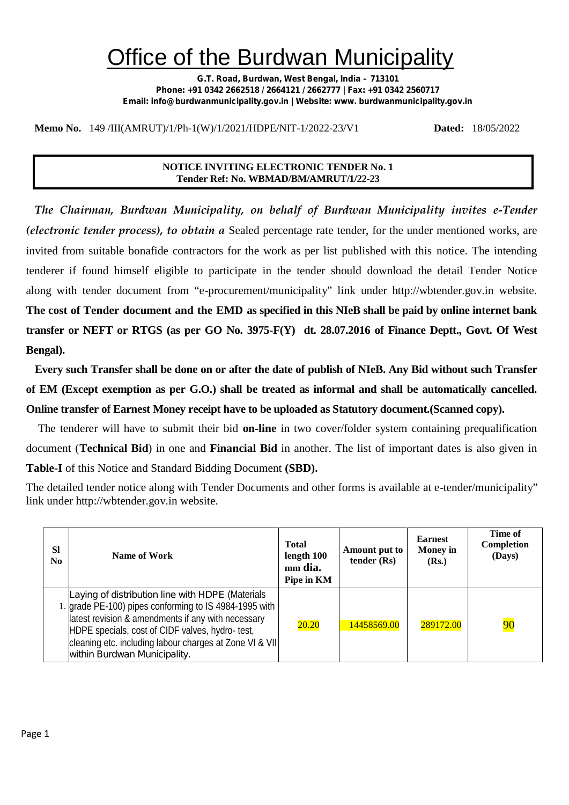## Office of the Burdwan Municipality

**G.T. Road, Burdwan, West Bengal, India – 713101 Phone: +91 0342 2662518 / 2664121 / 2662777 | Fax: +91 0342 2560717 Email: info@burdwanmunicipality.gov.in | Website: www. burdwanmunicipality.gov.in**

**Memo No.** 149 /III(AMRUT)/1/Ph-1(W)/1/2021/HDPE/NIT-1/2022-23/V1 **Dated:** 18/05/2022

#### **NOTICE INVITING ELECTRONIC TENDER No. 1 Tender Ref: No. WBMAD/BM/AMRUT/1/22-23**

*The Chairman, Burdwan Municipality, on behalf of Burdwan Municipality invites e-Tender (electronic tender process), to obtain a* Sealed percentage rate tender, for the under mentioned works, are invited from suitable bonafide contractors for the work as per list published with this notice. The intending tenderer if found himself eligible to participate in the tender should download the detail Tender Notice along with tender document from "e-procurement/municipality" link under http://wbtender.gov.in website. **The cost of Tender document and the EMD as specified in this NIeB shall be paid by online internet bank transfer or NEFT or RTGS (as per GO No. 3975-F(Y) dt. 28.07.2016 of Finance Deptt., Govt. Of West Bengal).**

**Every such Transfer shall be done on or after the date of publish of NIeB. Any Bid without such Transfer of EM (Except exemption as per G.O.) shall be treated as informal and shall be automatically cancelled. Online transfer of Earnest Money receipt have to be uploaded as Statutory document.(Scanned copy).**

The tenderer will have to submit their bid **on-line** in two cover/folder system containing prequalification document (**Technical Bid**) in one and **Financial Bid** in another. The list of important dates is also given in **Table-I** of this Notice and Standard Bidding Document **(SBD).**

The detailed tender notice along with Tender Documents and other forms is available at e-tender/municipality" link under http://wbtender.gov.in website.

| <b>SI</b><br>N <sub>0</sub> | Name of Work                                                                                                                                                                                                                                                                                                   | <b>Total</b><br>length 100<br>mm dia.<br>Pipe in KM | Amount put to<br>tender (Rs) | <b>Earnest</b><br><b>Money</b> in<br>(Rs.) | Time of<br>Completion<br>(Days) |
|-----------------------------|----------------------------------------------------------------------------------------------------------------------------------------------------------------------------------------------------------------------------------------------------------------------------------------------------------------|-----------------------------------------------------|------------------------------|--------------------------------------------|---------------------------------|
|                             | Laying of distribution line with HDPE (Materials<br>1. grade PE-100) pipes conforming to IS 4984-1995 with<br>latest revision & amendments if any with necessary<br>HDPE specials, cost of CIDF valves, hydro-test,<br>cleaning etc. including labour charges at Zone VI & VII<br>within Burdwan Municipality. | 20.20                                               | 14458569.00                  | 289172.00                                  | $\overline{90}$                 |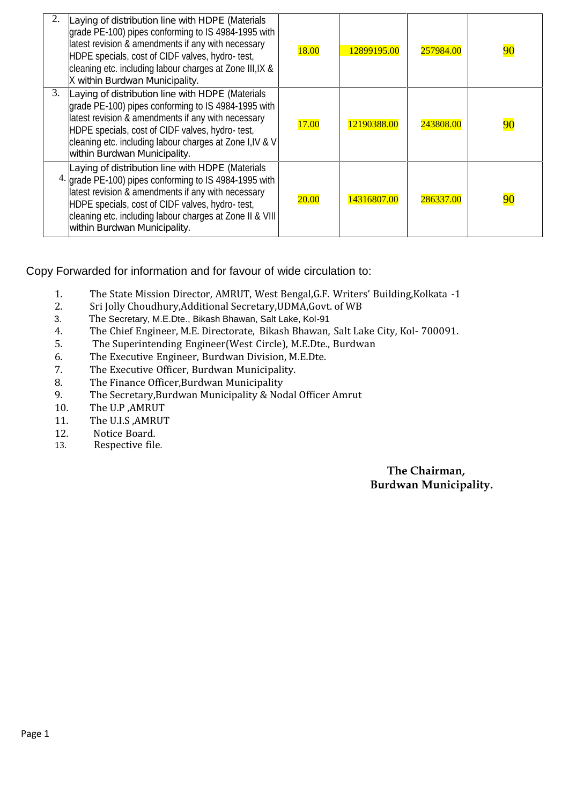|    | Laying of distribution line with HDPE (Materials<br>grade PE-100) pipes conforming to IS 4984-1995 with<br>latest revision & amendments if any with necessary<br>HDPE specials, cost of CIDF valves, hydro-test,<br>cleaning etc. including labour charges at Zone III, IX &<br>X within Burdwan Municipality.   | 18.00        | 12899195.00 | 257984.00 | 90 |
|----|------------------------------------------------------------------------------------------------------------------------------------------------------------------------------------------------------------------------------------------------------------------------------------------------------------------|--------------|-------------|-----------|----|
| 3. | Laying of distribution line with HDPE (Materials<br>grade PE-100) pipes conforming to IS 4984-1995 with<br>latest revision & amendments if any with necessary<br>HDPE specials, cost of CIDF valves, hydro-test,<br>cleaning etc. including labour charges at Zone I, IV & V<br>within Burdwan Municipality.     | <b>17.00</b> | 12190388.00 | 243808.00 | 90 |
|    | Laying of distribution line with HDPE (Materials<br>4. grade PE-100) pipes conforming to IS 4984-1995 with<br>latest revision & amendments if any with necessary<br>HDPE specials, cost of CIDF valves, hydro- test,<br>cleaning etc. including labour charges at Zone II & VIII<br>within Burdwan Municipality. | <b>20.00</b> | 14316807.00 | 286337.00 | 90 |

Copy Forwarded for information and for favour of wide circulation to:

- 1. The State Mission Director, AMRUT, West Bengal, G.F. Writers' Building, Kolkata -1<br>2. Sri Jolly Choudhury Additional Secretary UDMA Goyt, of WB
- 2. Sri Jolly Choudhury,Additional Secretary,UDMA,Govt. of WB<br>3. The Secretary, M.E.Dte., Bikash Bhawan, Salt Lake, Kol-91
- 3. The Secretary, M.E.Dte., Bikash Bhawan, Salt Lake, Kol-91<br>4. The Chief Engineer. M.E. Directorate. Bikash Bhawan.
- 4. The Chief Engineer, M.E. Directorate, Bikash Bhawan, Salt Lake City, Kol- 700091.<br>5. The Superintending Engineer (West Circle). M.E. Dte.. Burdwan
- 5. The Superintending Engineer(West Circle), M.E.Dte., Burdwan<br>6. The Executive Engineer. Burdwan Division. M.E.Dte.
- 6. The Executive Engineer, Burdwan Division, M.E.Dte.<br>7. The Executive Officer, Burdwan Municipality.
- 7. The Executive Officer, Burdwan Municipality.<br>8. The Finance Officer.Burdwan Municipality
- 8. The Finance Officer, Burdwan Municipality<br>9. The Secretary Burdwan Municipality & No
- 9. The Secretary, Burdwan Municipality & Nodal Officer Amrut 10. The U.P. AMRUT
- 10. The U.P , AMRUT<br>11. The U.I.S , AMRUT
- 11. The U.I.S, AMRUT<br>12. Notice Board.
- 12. Notice Board.<br>13. Respective file
- Respective file.

**The Chairman, Burdwan Municipality.**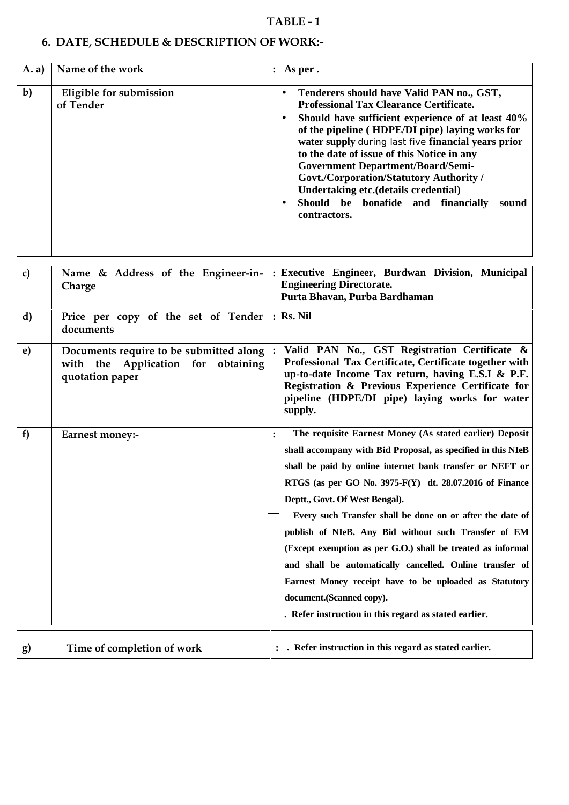## **TABLE - 1**

## **6. DATE, SCHEDULE & DESCRIPTION OF WORK:-**

| A. a)        | Name of the work                                                                                 | As per.                                                                                                                                                                                                                                                                                                                                                                                                                                                                                                                                                                                                                                                                          |
|--------------|--------------------------------------------------------------------------------------------------|----------------------------------------------------------------------------------------------------------------------------------------------------------------------------------------------------------------------------------------------------------------------------------------------------------------------------------------------------------------------------------------------------------------------------------------------------------------------------------------------------------------------------------------------------------------------------------------------------------------------------------------------------------------------------------|
| $\mathbf{b}$ | Eligible for submission<br>of Tender                                                             | Tenderers should have Valid PAN no., GST,<br><b>Professional Tax Clearance Certificate.</b><br>Should have sufficient experience of at least 40%<br>of the pipeline (HDPE/DI pipe) laying works for<br>water supply during last five financial years prior<br>to the date of issue of this Notice in any<br><b>Government Department/Board/Semi-</b><br><b>Govt./Corporation/Statutory Authority /</b><br>Undertaking etc.(details credential)<br>Should be bonafide and financially sound<br>contractors.                                                                                                                                                                       |
| $\mathbf{c}$ | Name & Address of the Engineer-in-<br>Charge                                                     | Executive Engineer, Burdwan Division, Municipal<br><b>Engineering Directorate.</b><br>Purta Bhavan, Purba Bardhaman                                                                                                                                                                                                                                                                                                                                                                                                                                                                                                                                                              |
| d)           | Price per copy of the set of Tender<br>documents                                                 | $:$ Rs. Nil                                                                                                                                                                                                                                                                                                                                                                                                                                                                                                                                                                                                                                                                      |
| e)           | Documents require to be submitted along<br>with the Application for obtaining<br>quotation paper | Valid PAN No., GST Registration Certificate &<br>Professional Tax Certificate, Certificate together with<br>up-to-date Income Tax return, having E.S.I & P.F.<br>Registration & Previous Experience Certificate for<br>pipeline (HDPE/DI pipe) laying works for water<br>supply.                                                                                                                                                                                                                                                                                                                                                                                                 |
| f            | Earnest money:-                                                                                  | The requisite Earnest Money (As stated earlier) Deposit<br>shall accompany with Bid Proposal, as specified in this NIeB<br>shall be paid by online internet bank transfer or NEFT or<br>RTGS (as per GO No. 3975-F(Y) dt. 28.07.2016 of Finance<br>Deptt., Govt. Of West Bengal).<br>Every such Transfer shall be done on or after the date of<br>publish of NIeB. Any Bid without such Transfer of EM<br>(Except exemption as per G.O.) shall be treated as informal<br>and shall be automatically cancelled. Online transfer of<br>Earnest Money receipt have to be uploaded as Statutory<br>document.(Scanned copy).<br>. Refer instruction in this regard as stated earlier. |
| g)           | Time of completion of work                                                                       | . Refer instruction in this regard as stated earlier.                                                                                                                                                                                                                                                                                                                                                                                                                                                                                                                                                                                                                            |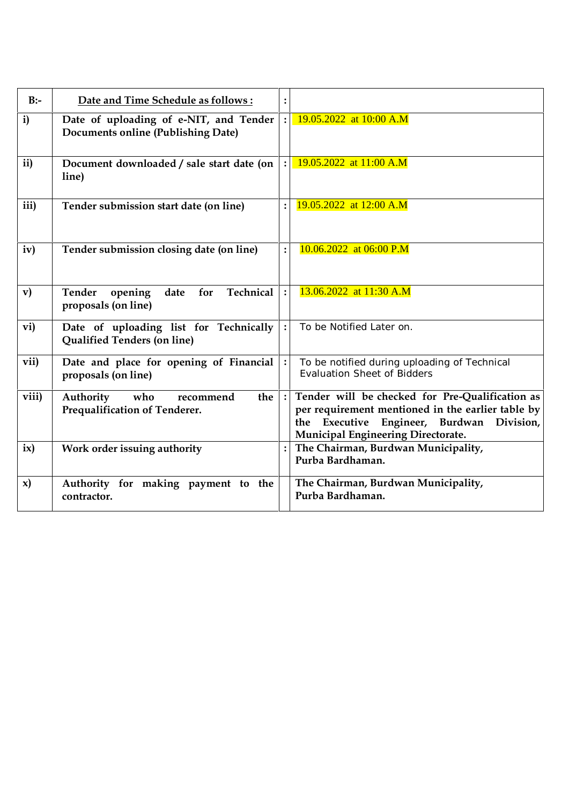| $B$ :-        | Date and Time Schedule as follows:                                                  | :              |                                                                                                                                                                                         |
|---------------|-------------------------------------------------------------------------------------|----------------|-----------------------------------------------------------------------------------------------------------------------------------------------------------------------------------------|
| $\mathbf{i}$  | Date of uploading of e-NIT, and Tender<br><b>Documents online (Publishing Date)</b> | $\ddot{\cdot}$ | 19.05.2022 at 10:00 A.M                                                                                                                                                                 |
| ii)           | Document downloaded / sale start date (on<br>line)                                  |                | 19.05.2022 at 11:00 A.M                                                                                                                                                                 |
| iii)          | Tender submission start date (on line)                                              |                | 19.05.2022 at 12:00 A.M                                                                                                                                                                 |
| iv)           | Tender submission closing date (on line)                                            | $\ddot{\cdot}$ | 10.06.2022 at 06:00 P.M                                                                                                                                                                 |
| $\mathbf{v})$ | Technical<br><b>Tender</b><br>opening<br>for<br>date<br>proposals (on line)         | $\cdot$        | 13.06.2022 at 11:30 A.M                                                                                                                                                                 |
| vi)           | Date of uploading list for Technically<br><b>Qualified Tenders (on line)</b>        | $\ddot{\cdot}$ | To be Notified Later on.                                                                                                                                                                |
| vii)          | Date and place for opening of Financial<br>proposals (on line)                      |                | To be notified during uploading of Technical<br><b>Evaluation Sheet of Bidders</b>                                                                                                      |
| viii)         | Authority<br>who<br>recommend<br>the<br>Prequalification of Tenderer.               | $\cdot$        | Tender will be checked for Pre-Qualification as<br>per requirement mentioned in the earlier table by<br>the Executive Engineer, Burdwan Division,<br>Municipal Engineering Directorate. |
| ix)           | Work order issuing authority                                                        |                | The Chairman, Burdwan Municipality,<br>Purba Bardhaman.                                                                                                                                 |
| x)            | Authority for making payment to the<br>contractor.                                  |                | The Chairman, Burdwan Municipality,<br>Purba Bardhaman.                                                                                                                                 |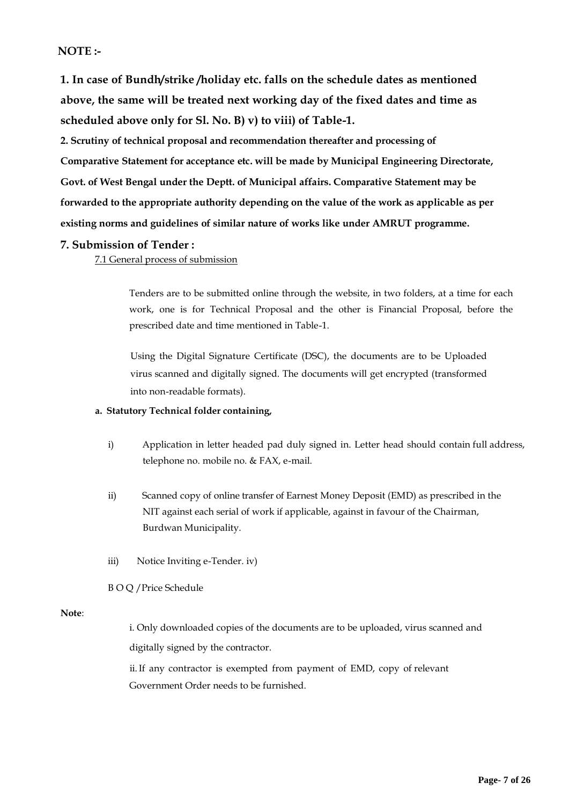## **NOTE :-**

**1. In case of Bundh/strike /holiday etc. falls on the schedule dates as mentioned above, the same will be treated next working day ofthe fixed dates and time as scheduled above only for Sl. No. B) v) to viii) of Table-1.**

**2. Scrutiny of technical proposal and recommendation thereafter and processing of Comparative Statement for acceptance etc.will be made by Municipal Engineering Directorate, Govt. of West Bengal under the Deptt. of Municipal affairs. Comparative Statement may be forwarded to the appropriate authority depending on the value of the work asapplicable as per existing norms and guidelines of similar nature of works like under AMRUT programme.**

#### **7. Submission of Tender :**

7.1 General process of submission

Tenders are to be submitted online through the website, in two folders, at a time for each work, one is for Technical Proposal and the other is Financial Proposal, before the prescribed date and time mentioned in Table-1.

Using the Digital Signature Certificate (DSC), the documents are to be Uploaded virus scanned and digitally signed. The documents will get encrypted (transformed into non-readable formats).

#### **a. Statutory Technical folder containing,**

- i) Application in letter headed pad duly signed in. Letter head should contain full address, telephone no. mobile no. & FAX, e-mail.
- ii) Scanned copy of online transfer of Earnest Money Deposit (EMD) as prescribed in the NIT against each serial of work if applicable, against in favour of the Chairman, Burdwan Municipality.
- iii) Notice Inviting e-Tender. iv)
- B O Q /Price Schedule

#### **Note**:

i. Only downloaded copies of the documents are to be uploaded, virus scanned and digitally signed by the contractor.

ii.If any contractor is exempted from payment of EMD, copy of relevant Government Order needs to be furnished.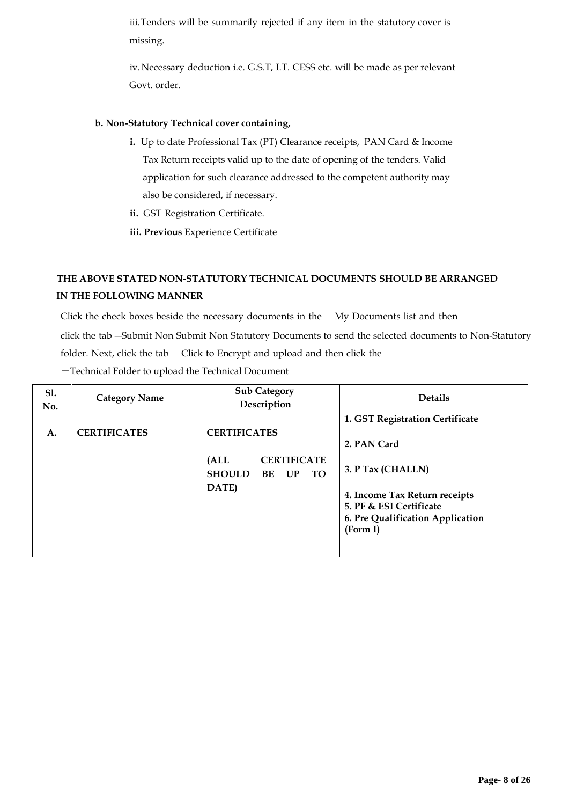iii. Tenders will be summarily rejected if any item in the statutory cover is missing.

iv.Necessary deduction i.e. G.S.T, I.T. CESS etc. will be made as per relevant Govt. order.

#### **b. Non-Statutory Technical cover containing,**

- **i.** Up to date Professional Tax (PT) Clearance receipts, PAN Card & Income Tax Return receipts valid up to the date of opening of the tenders. Valid application for such clearance addressed to the competent authority may also be considered, if necessary.
- **ii.** GST Registration Certificate.
- **iii. Previous** Experience Certificate

## **THE ABOVE STATED NON-STATUTORY TECHNICAL DOCUMENTS SHOULD BE ARRANGED IN THE FOLLOWING MANNER**

Click the check boxes beside the necessary documents in the  $-My$  Documents list and then click the tab ―Submit Non Submit Non Statutory Documents to send the selected documents to Non-Statutory folder. Next, click the tab  $-$  Click to Encrypt and upload and then click the

| <b>S1.</b><br>No. | <b>Category Name</b> | <b>Sub Category</b><br>Description                                                         | <b>Details</b>                                                                                                                                                                  |
|-------------------|----------------------|--------------------------------------------------------------------------------------------|---------------------------------------------------------------------------------------------------------------------------------------------------------------------------------|
| A.                | <b>CERTIFICATES</b>  | <b>CERTIFICATES</b><br><b>CERTIFICATE</b><br>(ALL<br><b>SHOULD</b><br>BE<br>UP TO<br>DATE) | 1. GST Registration Certificate<br>2. PAN Card<br>3. P Tax (CHALLN)<br>4. Income Tax Return receipts<br>5. PF & ESI Certificate<br>6. Pre Qualification Application<br>(Form I) |

―Technical Folder to upload the Technical Document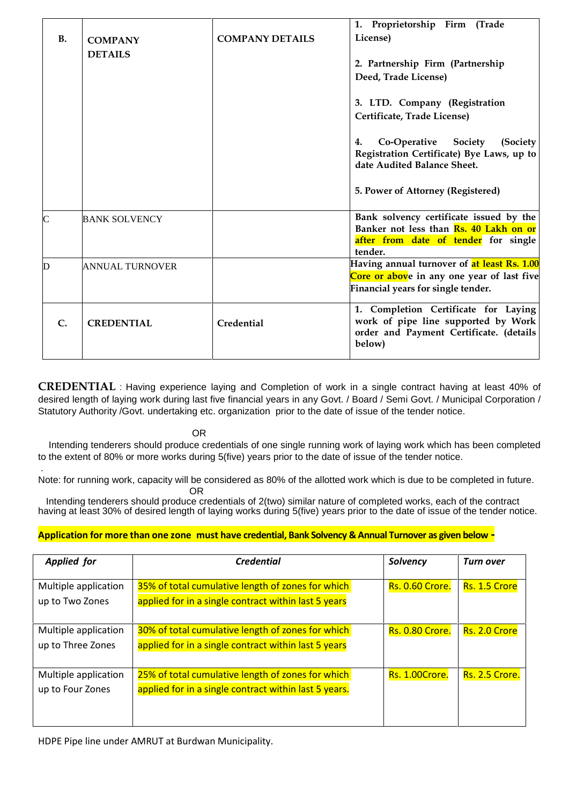|                |                                  |                        | 1. Proprietorship Firm (Trade                                                                                                    |
|----------------|----------------------------------|------------------------|----------------------------------------------------------------------------------------------------------------------------------|
| <b>B.</b>      | <b>COMPANY</b><br><b>DETAILS</b> | <b>COMPANY DETAILS</b> | License)                                                                                                                         |
|                |                                  |                        | 2. Partnership Firm (Partnership                                                                                                 |
|                |                                  |                        | Deed, Trade License)                                                                                                             |
|                |                                  |                        | 3. LTD. Company (Registration                                                                                                    |
|                |                                  |                        | Certificate, Trade License)                                                                                                      |
|                |                                  |                        | Co-Operative<br>Society<br>(Society<br>4.<br>Registration Certificate) Bye Laws, up to<br>date Audited Balance Sheet.            |
|                |                                  |                        | 5. Power of Attorney (Registered)                                                                                                |
| $\overline{C}$ | <b>BANK SOLVENCY</b>             |                        | Bank solvency certificate issued by the<br>Banker not less than <b>Rs. 40 Lakh on or</b>                                         |
|                |                                  |                        | after from date of tender for single<br>tender.                                                                                  |
| D              | <b>ANNUAL TURNOVER</b>           |                        | Having annual turnover of at least Rs. 1.00<br>Core or above in any one year of last five<br>Financial years for single tender.  |
| $\mathbf{C}$ . | <b>CREDENTIAL</b>                | Credential             | 1. Completion Certificate for Laying<br>work of pipe line supported by Work<br>order and Payment Certificate. (details<br>below) |

**CREDENTIAL** : Having experience laying and Completion of work in a single contract having at least 40% of desired length of laying work during last five financial years in any Govt. / Board / Semi Govt. / Municipal Corporation / Statutory Authority /Govt. undertaking etc. organization prior to the date of issue of the tender notice.

OR

Intending tenderers should produce credentials of one single running work of laying work which has been completed to the extent of 80% or more works during 5(five) years prior to the date of issue of the tender notice.

Note: for running work, capacity will be considered as 80% of the allotted work which is due to be completed in future. OR

Intending tenderers should produce credentials of 2(two) similar nature of completed works, each of the contract having at least 30% of desired length of laying works during 5(five) years prior to the date of issue of the tender notice.

#### **Application formore than one zone must have credential, Bank Solvency & Annual Turnover as given below -**

| <b>Applied for</b>                        | <b>Credential</b>                                                                                          | Solvency               | <b>Turn over</b> |
|-------------------------------------------|------------------------------------------------------------------------------------------------------------|------------------------|------------------|
| Multiple application<br>up to Two Zones   | 35% of total cumulative length of zones for which<br>applied for in a single contract within last 5 years  | <b>Rs. 0.60 Crore.</b> | Rs. 1.5 Crore    |
| Multiple application<br>up to Three Zones | 30% of total cumulative length of zones for which<br>applied for in a single contract within last 5 years  | <b>Rs. 0.80 Crore.</b> | Rs. 2.0 Crore    |
| Multiple application<br>up to Four Zones  | 25% of total cumulative length of zones for which<br>applied for in a single contract within last 5 years. | <b>Rs. 1.00Crore.</b>  | Rs. 2.5 Crore.   |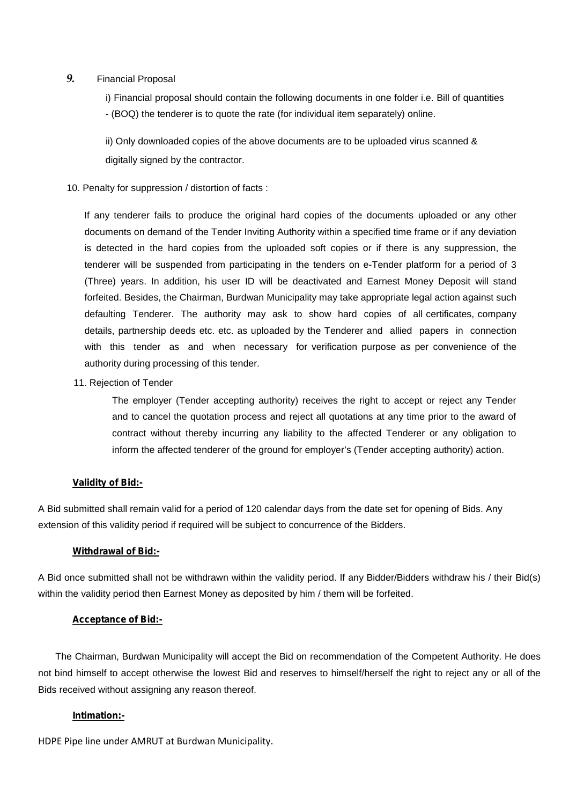#### *9.* Financial Proposal

i) Financial proposal should contain the following documents in one folder i.e. Bill of quantities - (BOQ) the tenderer is to quote the rate (for individual item separately) online.

ii) Only downloaded copies of the above documents are to be uploaded virus scanned & digitally signed by the contractor.

#### 10. Penalty for suppression / distortion of facts :

If any tenderer fails to produce the original hard copies of the documents uploaded or any other documents on demand of the Tender Inviting Authority within a specified time frame or if any deviation is detected in the hard copies from the uploaded soft copies or if there is any suppression, the tenderer will be suspended from participating in the tenders on e-Tender platform for a period of 3 (Three) years. In addition, his user ID will be deactivated and Earnest Money Deposit will stand forfeited. Besides, the Chairman, Burdwan Municipality may take appropriate legal action against such defaulting Tenderer. The authority may ask to show hard copies of all certificates, company details, partnership deeds etc. etc. as uploaded by the Tenderer and allied papers in connection with this tender as and when necessary for verification purpose as per convenience of the authority during processing of this tender.

11. Rejection of Tender

The employer (Tender accepting authority) receives the right to accept or reject any Tender and to cancel the quotation process and reject all quotations at any time prior to the award of contract without thereby incurring any liability to the affected Tenderer or any obligation to inform the affected tenderer of the ground for employer's (Tender accepting authority) action.

#### **Validity of Bid:-**

A Bid submitted shall remain valid for a period of 120 calendar days from the date set for opening of Bids. Any extension of this validity period if required will be subject to concurrence of the Bidders.

#### **Withdrawal of Bid:-**

A Bid once submitted shall not be withdrawn within the validity period. If any Bidder/Bidders withdraw his / their Bid(s) within the validity period then Earnest Money as deposited by him / them will be forfeited.

#### **Acceptance of Bid:-**

The Chairman, Burdwan Municipality will accept the Bid on recommendation of the Competent Authority. He does not bind himself to accept otherwise the lowest Bid and reserves to himself/herself the right to reject any or all of the Bids received without assigning any reason thereof.

#### **Intimation:-**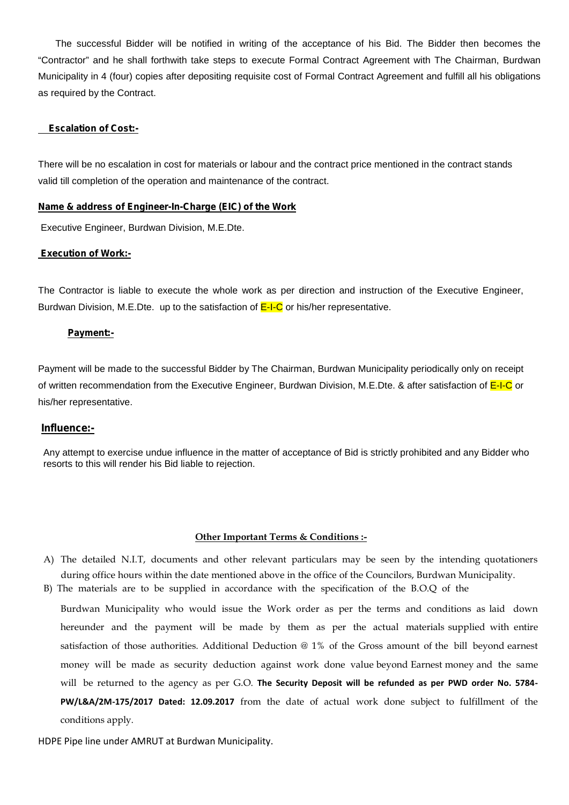The successful Bidder will be notified in writing of the acceptance of his Bid. The Bidder then becomes the "Contractor" and he shall forthwith take steps to execute Formal Contract Agreement with The Chairman, Burdwan Municipality in 4 (four) copies after depositing requisite cost of Formal Contract Agreement and fulfill all his obligations as required by the Contract.

#### **Escalation of Cost:-**

There will be no escalation in cost for materials or labour and the contract price mentioned in the contract stands valid till completion of the operation and maintenance of the contract.

#### **Name & address of Engineer-In-Charge (EIC) of the Work**

Executive Engineer, Burdwan Division, M.E.Dte.

#### **Execution of Work:-**

The Contractor is liable to execute the whole work as per direction and instruction of the Executive Engineer, Burdwan Division, M.E.Dte. up to the satisfaction of  $E-I-C$  or his/her representative.

#### **Payment:-**

Payment will be made to the successful Bidder by The Chairman, Burdwan Municipality periodically only on receipt of written recommendation from the Executive Engineer, Burdwan Division, M.E.Dte. & after satisfaction of E-I-C or his/her representative.

#### **Influence:-**

Any attempt to exercise undue influence in the matter of acceptance of Bid is strictly prohibited and any Bidder who resorts to this will render his Bid liable to rejection.

#### **Other Important Terms & Conditions :-**

- A) The detailed N.I.T, documents and other relevant particulars may be seen by the intending quotationers during office hours within the date mentioned above in the office of the Councilors, Burdwan Municipality.
- B) The materials are to be supplied in accordance with the specification of the B.O.Q of the

Burdwan Municipality who would issue the Work order as per the terms and conditions as laid down hereunder and the payment will be made by them as per the actual materials supplied with entire satisfaction of those authorities. Additional Deduction @ 1% of the Gross amount of the bill beyond earnest money will be made as security deduction against work done value beyond Earnest money and the same will be returned to the agency as per G.O. **The Security Deposit will be refunded as per PWD order No. 5784- PW/L&A/2M-175/2017 Dated: 12.09.2017** from the date of actual work done subject to fulfillment of the conditions apply.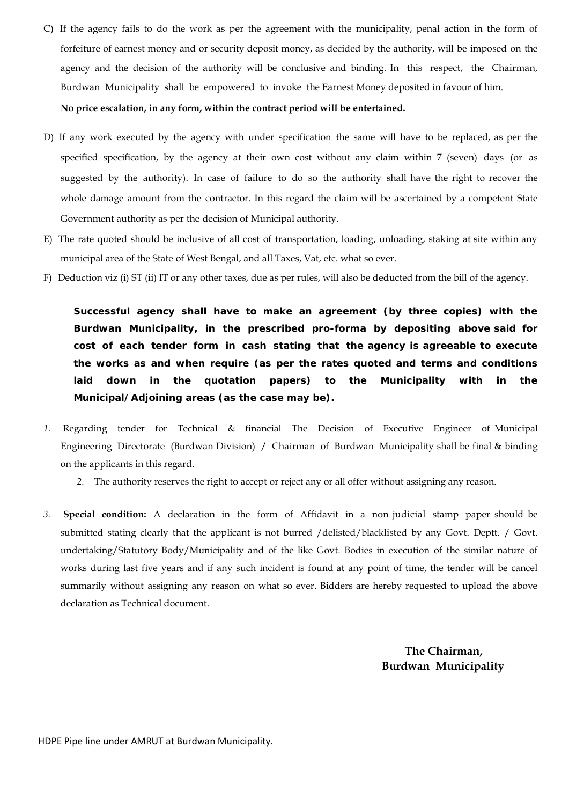C) If the agency fails to do the work as per the agreement with the municipality, penal action in the form of forfeiture of earnest money and or security deposit money, as decided by the authority, will be imposed on the agency and the decision of the authority will be conclusive and binding. In this respect, the Chairman, Burdwan Municipality shall be empowered to invoke the Earnest Money deposited in favour of him.

#### **No price escalation, in any form, within the contract period will be entertained.**

- D) If any work executed by the agency with under specification the same will have to be replaced, as per the specified specification, by the agency at their own cost without any claim within 7 (seven) days (or as suggested by the authority). In case of failure to do so the authority shall have the right to recover the whole damage amount from the contractor. In this regard the claim will be ascertained by a competent State Government authority as per the decision of Municipal authority.
- E) The rate quoted should be inclusive of all cost of transportation, loading, unloading, staking at site within any municipal area of the State of West Bengal, and all Taxes, Vat, etc. what so ever.
- F) Deduction viz (i) ST (ii) IT or any other taxes, due as per rules, will also be deducted from the bill of the agency.

**Successful agency shall have to make an agreement (by three copies) with the Burdwan Municipality, in the prescribed pro-forma by depositing above said for cost of each tender form in cash stating that the agency is agreeable to execute the works as and when require (as per the rates quoted and terms and conditions laid down in the quotation papers) to the Municipality with in the Municipal/Adjoining areas (as the case may be).**

- *1.* Regarding tender for Technical & financial The Decision of Executive Engineer of Municipal Engineering Directorate (Burdwan Division) / Chairman of Burdwan Municipality shall be final & binding on the applicants in this regard.
	- *2.* The authority reserves the right to accept or reject any orall offer without assigning any reason.
- *3.* **Special condition:** A declaration in the form of Affidavit in a non judicial stamp paper should be submitted stating clearly that the applicant is not burred /delisted/blacklisted by any Govt. Deptt. / Govt. undertaking/Statutory Body/Municipality and of the like Govt. Bodies in execution of the similar nature of works during last five years and if any such incident is found at any point of time, the tender will be cancel summarily without assigning any reason on what so ever. Bidders are hereby requested to upload the above declaration as Technical document.

**The Chairman, Burdwan Municipality**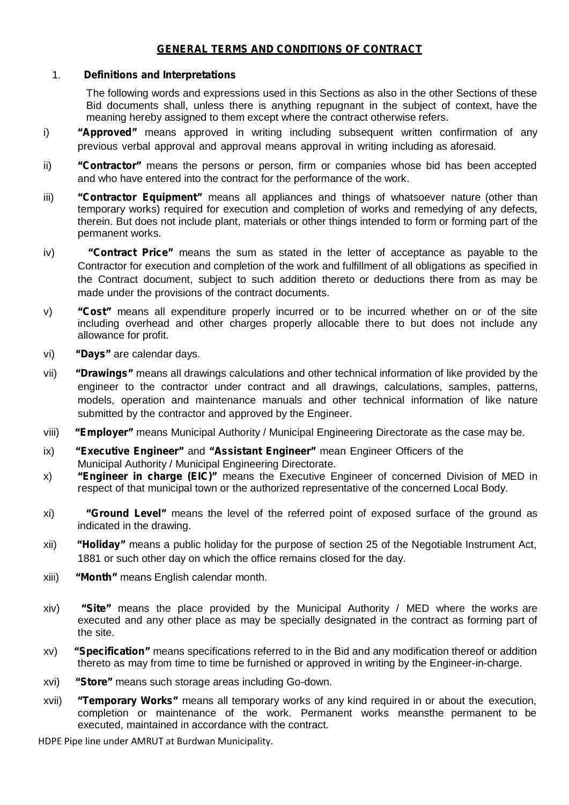## *GENERAL TERMS AND CONDITIONS OF CONTRACT*

#### 1. *Definitions and Interpretations*

The following words and expressions used in this Sections as also in the other Sections of these Bid documents shall, unless there is anything repugnant in the subject of context, have the meaning hereby assigned to them except where the contract otherwise refers.

- i) *"Approved"* means approved in writing including subsequent written confirmation of any previous verbal approval and approval means approval in writing including as aforesaid.
- ii) *"Contractor"* means the persons or person, firm or companies whose bid has been accepted and who have entered into the contract for the performance of the work.
- iii) **"Contractor Equipment"** means all appliances and things of whatsoever nature (other than temporary works) required for execution and completion of works and remedying of any defects, therein. But does not include plant, materials or other things intended to form or forming part of the permanent works.
- iv) *"Contract Price"* means the sum as stated in the letter of acceptance as payable to the Contractor for execution and completion of the work and fulfillment of all obligations as specified in the Contract document, subject to such addition thereto or deductions there from as may be made under the provisions of the contract documents.
- v) *"Cost"* means all expenditure properly incurred or to be incurred whether on or of the site including overhead and other charges properly allocable there to but does not include any allowance for profit.
- vi) *"Days"* are calendar days.
- vii) *"Drawings"* means all drawings calculations and other technical information of like provided by the engineer to the contractor under contract and all drawings, calculations, samples, patterns, models, operation and maintenance manuals and other technical information of like nature submitted by the contractor and approved by the Engineer.
- viii) *"Employer"* means Municipal Authority / Municipal Engineering Directorate as the case may be.
- ix) *"Executive Engineer"* and *"Assistant Engineer"* mean Engineer Officers of the Municipal Authority / Municipal Engineering Directorate.
- x) *"Engineer in charge (EIC)"* means the Executive Engineer of concerned Division of MED in respect of that municipal town or the authorized representative of the concerned Local Body.
- xi) *"Ground Level"* means the level of the referred point of exposed surface of the ground as indicated in the drawing.
- xii) *"Holiday"* means a public holiday for the purpose of section 25 of the Negotiable Instrument Act, 1881 or such other day on which the office remains closed for the day.
- xiii) *"Month"* means English calendar month.
- xiv) *"Site"* means the place provided by the Municipal Authority / MED where the works are executed and any other place as may be specially designated in the contract as forming part of the site.
- xv) *"Specification"* means specifications referred to in the Bid and any modification thereof or addition thereto as may from time to time be furnished or approved in writing by the Engineer-in-charge.
- xvi) *"Store"* means such storage areas including Go-down.
- xvii) *"Temporary Works"* means all temporary works of any kind required in or about the execution, completion or maintenance of the work. Permanent works meansthe permanent to be executed, maintained in accordance with the contract.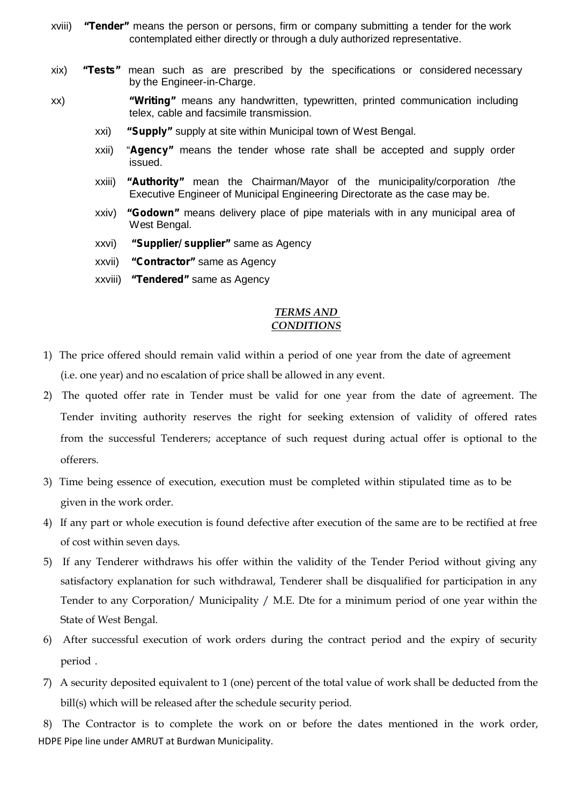- xviii) *"Tender"* means the person or persons, firm or company submitting a tender for the work contemplated either directly or through a duly authorized representative.
- xix) *"Tests"* mean such as are prescribed by the specifications or considered necessary by the Engineer-in-Charge.
- xx) *"Writing"* means any handwritten, typewritten, printed communication including telex, cable and facsimile transmission.
	- xxi) *"Supply"* supply at site within Municipal town of West Bengal.
	- xxii) "*Agency"* means the tender whose rate shall be accepted and supply order issued.
	- xxiii) *"Authority"* mean the Chairman/Mayor of the municipality/corporation /the Executive Engineer of Municipal Engineering Directorate as the case may be.<br>xxiv) *"Godown"* means delivery place of pipe materials with in any municipal area of
	- West Bengal.
	- xxvi) *"Supplier/ supplier"* same as Agency
	- xxvii) *"Contractor"* same as Agency
	- xxviii) *"Tendered"* same as Agency

#### *TERMS AND CONDITIONS*

- 1) The price offered should remain valid within a period of one year from the date of agreement (i.e. one year) and no escalation of price shall be allowed in any event.
- 2) The quoted offer rate in Tender must be valid for one year from the date of agreement. The Tender inviting authority reserves the right for seeking extension of validity of offered rates from the successful Tenderers; acceptance of such request during actual offer is optional to the offerers.
- 3) Time being essence of execution, execution must be completed within stipulated time as to be given in the work order.
- 4) If any part or whole execution is found defective after execution of the same are to be rectified at free of cost within seven days.
- 5) If any Tenderer withdraws his offer within the validity of the Tender Period without giving any satisfactory explanation for such withdrawal, Tenderer shall be disqualified for participation in any Tender to any Corporation/ Municipality / M.E. Dte for a minimum period of one year within the State of West Bengal.
- 6) After successful execution of work orders during the contract period and the expiry of security period .
- 7) A security deposited equivalent to 1 (one) percent of the total value of work shall be deducted from the bill(s) which will be released after the schedule security period.

HDPE Pipe line under AMRUT at Burdwan Municipality. 8) The Contractor is to complete the work on or before the dates mentioned in the work order,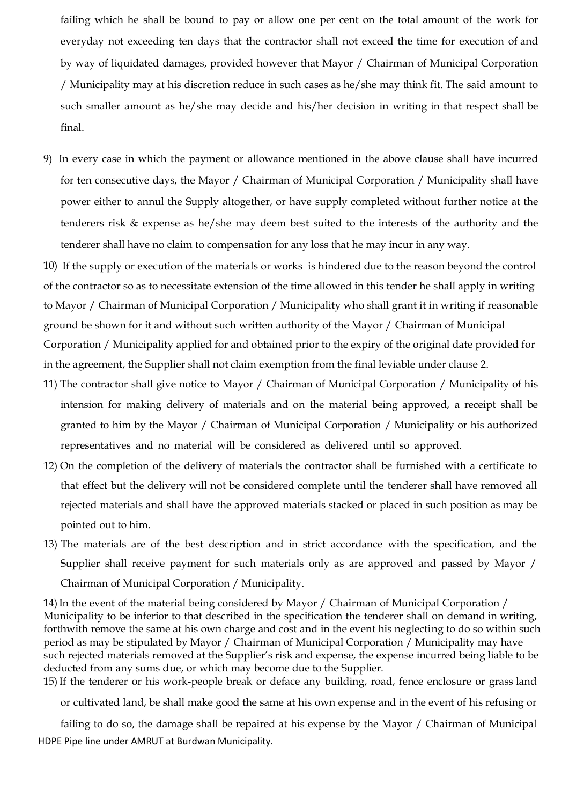failing which he shall be bound to pay or allow one per cent on the total amount of the work for everyday not exceeding ten days that the contractor shall not exceed the time for execution of and by way of liquidated damages, provided however that Mayor / Chairman of Municipal Corporation / Municipality may at his discretion reduce in such cases as he/she may think fit. The said amount to such smaller amount as he/she may decide and his/her decision in writing in that respect shall be final.

9) In every case in which the payment or allowance mentioned in the above clause shall have incurred for ten consecutive days, the Mayor / Chairman of Municipal Corporation / Municipality shall have power either to annul the Supply altogether, or have supply completed without further notice at the tenderers risk & expense as he/she may deem best suited to the interests of the authority and the tenderer shall have no claim to compensation for any loss that he may incur in any way.

10) If the supply or execution of the materials or works is hindered due to the reason beyond the control of the contractor so as to necessitate extension of the time allowed in this tender he shall apply in writing to Mayor / Chairman of Municipal Corporation / Municipality who shall grant it in writing if reasonable ground be shown for it and without such written authority of the Mayor / Chairman of Municipal Corporation / Municipality applied for and obtained prior to the expiry of the original date provided for in the agreement, the Supplier shall not claim exemption from the final leviable under clause 2.

- 11) The contractor shall give notice to Mayor / Chairman of Municipal Corporation / Municipality of his intension for making delivery of materials and on the material being approved, a receipt shall be granted to him by the Mayor / Chairman of Municipal Corporation / Municipality or his authorized representatives and no material will be considered as delivered until so approved.
- 12) On the completion of the delivery of materials the contractor shall be furnished with a certificate to that effect but the delivery will not be considered complete until the tenderer shall have removed all rejected materials and shall have the approved materials stacked or placed in such position as may be pointed out to him.
- 13) The materials are of the best description and in strict accordance with the specification, and the Supplier shall receive payment for such materials only as are approved and passed by Mayor / Chairman of Municipal Corporation / Municipality.

14)In the event of the material being considered by Mayor / Chairman of Municipal Corporation / Municipality to be inferior to that described in the specification the tenderer shall on demand in writing, forthwith remove the same at his own charge and cost and in the event his neglecting to do so within such period as may be stipulated by Mayor / Chairman of Municipal Corporation / Municipality may have such rejected materials removed at the Supplier's risk and expense, the expense incurred being liable to be deducted from any sums due, or which may become due to the Supplier.

15)If the tenderer or his work-people break or deface any building, road, fence enclosure or grass land

or cultivated land, be shall make good the same at his own expense and in the event of his refusing or

HDPE Pipe line under AMRUT at Burdwan Municipality. failing to do so, the damage shall be repaired at his expense by the Mayor / Chairman of Municipal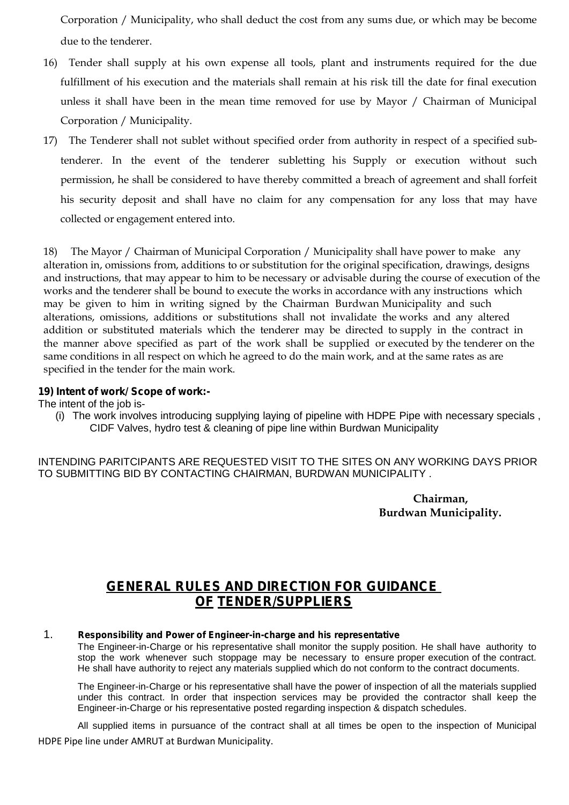Corporation / Municipality, who shall deduct the cost from any sums due, or which may be become due to the tenderer.

- 16) Tender shall supply at his own expense all tools, plant and instruments required for the due fulfillment of his execution and the materials shall remain at his risk till the date for final execution unless it shall have been in the mean time removed for use by Mayor / Chairman of Municipal Corporation / Municipality.
- 17) The Tenderer shall not sublet without specified order from authority in respect of a specified subtenderer. In the event of the tenderer subletting his Supply or execution without such permission, he shall be considered to have thereby committed abreach of agreement and shall forfeit his security deposit and shall have no claim for any compensation for any loss that may have collected or engagement entered into.

18) The Mayor / Chairman of Municipal Corporation / Municipality shall have power to make any alteration in, omissions from, additions to or substitution for the original specification, drawings, designs and instructions, that may appear to him to be necessary or advisable during the course of execution of the works and the tenderer shall be bound to execute the works in accordance with any instructions which may be given to him in writing signed by the Chairman Burdwan Municipality and such alterations, omissions, additions or substitutions shall not invalidate the works and any altered addition or substituted materials which the tenderer may be directed to supply in the contract in the manner above specified as part of the work shall be supplied or executed by the tenderer on the same conditions in all respect on which he agreed to do the main work, and at the same rates as are specified in the tender for the main work.

#### **19) Intent of work/ Scope of work:-**

The intent of the job is-

(i) The work involves introducing supplying laying of pipeline with HDPE Pipe with necessary specials , CIDF Valves, hydro test & cleaning of pipe line within Burdwan Municipality

INTENDING PARITCIPANTS ARE REQUESTED VISIT TO THE SITES ON ANY WORKING DAYS PRIOR TO SUBMITTING BID BY CONTACTING CHAIRMAN, BURDWAN MUNICIPALITY .

> **Chairman, Burdwan Municipality.**

## **GENERAL RULES AND DIRECTION FOR GUIDANCE OF TENDER/SUPPLIERS**

#### 1. *Responsibility and Power of Engineer-in-charge and his representative*

The Engineer-in-Charge or his representative shall monitor the supply position. He shall have authority to stop the work whenever such stoppage may be necessary to ensure proper execution of the contract. He shall have authority to reject any materials supplied which do not conform to the contract documents.

The Engineer-in-Charge or his representative shall have the power of inspection of all the materials supplied under this contract. In order that inspection services may be provided the contractor shall keep the Engineer-in-Charge or his representative posted regarding inspection & dispatch schedules.

HDPE Pipe line under AMRUT at Burdwan Municipality. All supplied items in pursuance of the contract shall at all times be open to the inspection of Municipal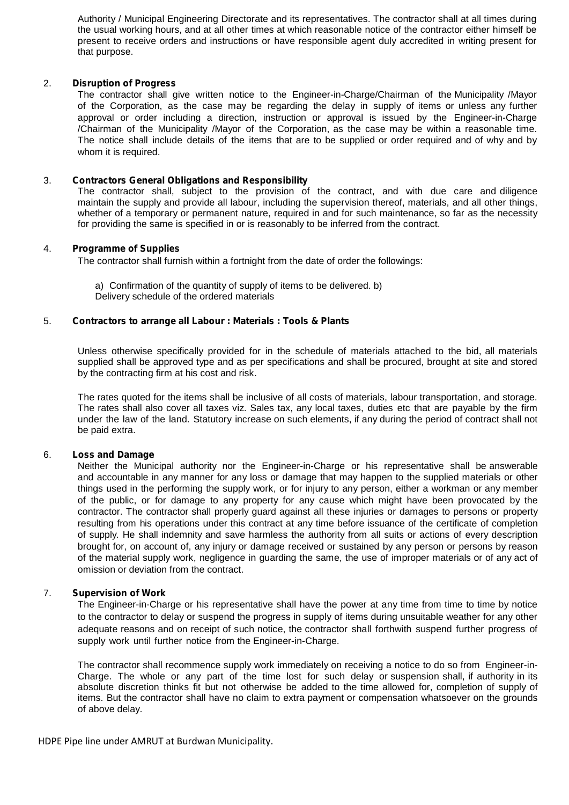Authority / Municipal Engineering Directorate and its representatives. The contractor shall at all times during the usual working hours, and at all other times at which reasonable notice of the contractor either himself be present to receive orders and instructions or have responsible agent duly accredited in writing present for that purpose.

#### 2. *Disruption of Progress*

The contractor shall give written notice to the Engineer-in-Charge/Chairman of the Municipality /Mayor of the Corporation, as the case may be regarding the delay in supply of items or unless any further approval or order including a direction, instruction or approval is issued by the Engineer-in-Charge /Chairman of the Municipality /Mayor of the Corporation, as the case may be within a reasonable time. The notice shall include details of the items that are to be supplied or order required and of why and by whom it is required.

#### 3. *Contractors General Obligations and Responsibility*

The contractor shall, subject to the provision of the contract, and with due care and diligence maintain the supply and provide all labour, including the supervision thereof, materials, and all other things, whether of a temporary or permanent nature, required in and for such maintenance, so far as the necessity for providing the same is specified in or is reasonably to be inferred from the contract.

#### 4. *Programme of Supplies*

The contractor shall furnish within a fortnight from the date of order the followings:

a) Confirmation of the quantity of supply of items to be delivered. b) Delivery schedule of the ordered materials

#### 5. *Contractors to arrange all Labour : Materials : Tools & Plants*

Unless otherwise specifically provided for in the schedule of materials attached to the bid, all materials supplied shall be approved type and as per specifications and shall be procured, brought at site and stored by the contracting firm at his cost and risk.

The rates quoted for the items shall be inclusive of all costs of materials, labour transportation, and storage. The rates shall also cover all taxes viz. Sales tax, any local taxes, duties etc that are payable by the firm under the law of the land. Statutory increase on such elements, if any during the period of contract shall not be paid extra.

#### 6. *Loss and Damage*

Neither the Municipal authority nor the Engineer-in-Charge or his representative shall be answerable and accountable in any manner for any loss or damage that may happen to the supplied materials or other things used in the performing the supply work, or for injury to any person, either a workman or any member of the public, or for damage to any property for any cause which might have been provocated by the contractor. The contractor shall properly guard against all these injuries or damages to persons or property resulting from his operations under this contract at any time before issuance of the certificate of completion of supply. He shall indemnity and save harmless the authority from all suits or actions of every description brought for, on account of, any injury or damage received or sustained by any person or persons by reason of the material supply work, negligence in guarding the same, the use of improper materials or of any act of omission or deviation from the contract.

#### 7. *Supervision of Work*

The Engineer-in-Charge or his representative shall have the power at any time from time to time by notice to the contractor to delay or suspend the progress in supply of items during unsuitable weather for any other adequate reasons and on receipt of such notice, the contractor shall forthwith suspend further progress of supply work until further notice from the Engineer-in-Charge.

The contractor shall recommence supply work immediately on receiving a notice to do so from Engineer-in- Charge. The whole or any part of the time lost for such delay or suspension shall, if authority in its absolute discretion thinks fit but not otherwise be added to the time allowed for, completion of supply of items. But the contractor shall have no claim to extra payment or compensation whatsoever on the grounds of above delay.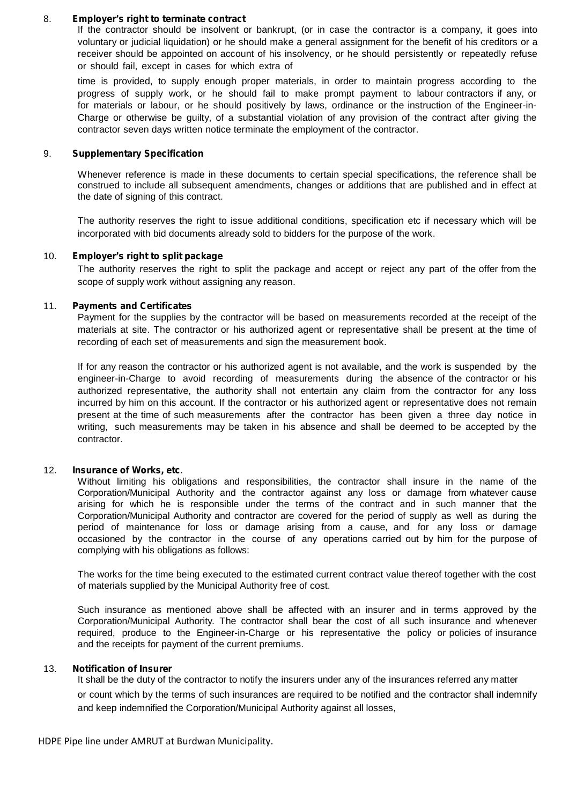#### 8. *Employer's right to terminate contract*

If the contractor should be insolvent or bankrupt, (or in case the contractor is a company, it goes into voluntary or judicial liquidation) or he should make a general assignment for the benefit of his creditors ora receiver should be appointed on account of his insolvency, or he should persistently or repeatedly refuse or should fail, except in cases for which extra of

time is provided, to supply enough proper materials, in order to maintain progress according to the progress of supply work, or he should fail to make prompt payment to labour contractors if any, or for materials or labour, or he should positively by laws, ordinance or the instruction of the Engineer-in- Charge or otherwise be guilty, of a substantial violation of any provision of the contract after giving the contractor seven days written notice terminate the employment of the contractor.

#### 9. *Supplementary Specification*

Whenever reference is made in these documents to certain special specifications, the reference shall be construed to include all subsequent amendments, changes oradditions that are published and in effect at the date of signing of this contract.

The authority reserves the right to issue additional conditions, specification etc if necessary which will be incorporated with bid documents already sold to bidders for the purpose of the work.

#### 10. *Employer's right to split package*

The authority reserves the right to split the package and accept or reject any part of the offer from the scope of supply work without assigning any reason.

#### 11. *Payments and Certificates*

Payment for the supplies by the contractor will be based on measurements recorded at the receipt of the materials at site. The contractor or his authorized agent or representative shall be present at the time of recording of each set of measurements and sign the measurement book.

If for any reason the contractor or his authorized agent is not available, and the work is suspended by the engineer-in-Charge to avoid recording of measurements during the absence of the contractor or his authorized representative, the authority shall not entertain any claim from the contractor for any loss incurred by him on this account. If the contractor or his authorized agent or representative does not remain present at the time of such measurements after the contractor has been given a three day notice in writing, such measurements may be taken in his absence and shall be deemed to be accepted by the contractor.

#### 12. *Insurance of Works, etc*.

Without limiting his obligations and responsibilities, the contractor shall insure in the name of the Corporation/Municipal Authority and the contractor against any loss or damage from whatever cause arising for which he is responsible under the terms of the contract and in such manner that the Corporation/Municipal Authority and contractor are covered for the period of supply as well as during the period of maintenance for loss or damage arising from a cause, and for any loss or damage occasioned by the contractor in the course of any operations carried out by him for the purpose of complying with his obligations as follows:

The works for the time being executed to the estimated current contract value thereof together with the cost of materials supplied by the Municipal Authority free of cost.

Such insurance as mentioned above shall be affected with an insurer and in terms approved by the Corporation/Municipal Authority. The contractor shall bear the cost of all such insurance and whenever required, produce to the Engineer-in-Charge or his representative the policy or policies of insurance and the receipts for payment of the current premiums.

#### 13. *Notification of Insurer*

It shall be the duty of the contractor to notify the insurers under any of the insurances referred any matter or count which by the terms of such insurances are required to be notified and the contractor shall indemnify and keep indemnified the Corporation/Municipal Authority against all losses,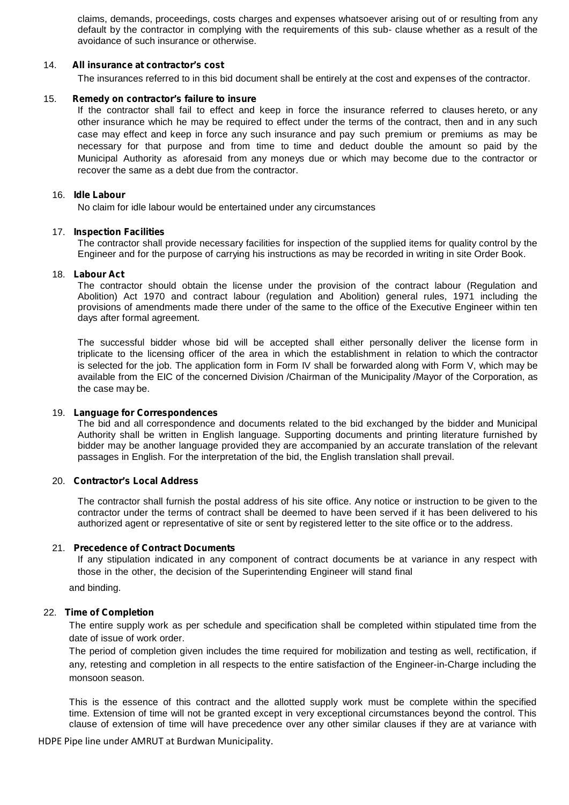claims, demands, proceedings, costs charges and expenses whatsoever arising out of or resulting from any default by the contractor in complying with the requirements of this sub- clause whether as a result of the avoidance of such insurance or otherwise.

#### 14. *All insurance at contractor's cost*

The insurances referred to in this bid document shall be entirely at the cost and expenses of the contractor.

#### 15. *Remedy on contractor's failure to insure*

If the contractor shall fail to effect and keep in force the insurance referred to clauses hereto, or any other insurance which he may be required to effect under the terms of the contract, then and in any such case may effect and keep in force any such insurance and pay such premium or premiums as may be necessary for that purpose and from time to time and deduct double the amount so paid by the Municipal Authority as aforesaid from any moneys due or which may become due to the contractor or recover the same as a debt due from the contractor.

#### 16. *Idle Labour*

No claim for idle labour would be entertained under any circumstances

#### 17. *Inspection Facilities*

The contractor shall provide necessary facilities for inspection of the supplied items for quality control by the Engineer and for the purpose of carrying his instructions as may be recorded in writing in site Order Book.

#### 18. *Labour Act*

The contractor should obtain the license under the provision of the contract labour (Regulation and Abolition) Act 1970 and contract labour (regulation and Abolition) general rules, 1971 including the provisions of amendments made there under of the same to the office of the Executive Engineer within ten days after formal agreement.

The successful bidder whose bid will be accepted shall either personally deliver the license form in triplicate to the licensing officer of the area in which the establishment in relation to which the contractor is selected for the job. The application form in Form IV shall be forwarded along with Form V, which may be available from the EIC of the concerned Division /Chairman of the Municipality /Mayor of the Corporation, as

# the case may be.19. *Language for Correspondences*

The bid and all correspondence and documents related to the bid exchanged by the bidder and Municipal Authority shall be written in English language. Supporting documents and printing literature furnished by bidder may be another language provided they are accompanied by an accurate translation of the relevant passages in English. For the interpretation of the bid, the English translation shall prevail.

#### 20. *Contractor's Local Address*

The contractor shall furnish the postal address of his site office. Any notice or instruction to be given to the contractor under the terms of contract shall be deemed to have been served if it has been delivered to his authorized agent or representative of site or sent by registered letter to the site office or to the address.

#### 21. *Precedence of Contract Documents*

If any stipulation indicated in any component of contract documents be at variance in any respect with those in the other, the decision of the Superintending Engineer will stand final

and binding.

#### 22. *Time of Completion*

The entire supply work as per schedule and specification shall be completed within stipulated time from the date of issue of work order.

The period of completion given includes the time required for mobilization and testing as well, rectification, if any, retesting and completion in allrespects to the entire satisfaction of the Engineer-in-Charge including the monsoon season.

This is the essence of this contract and the allotted supply work must be complete within the specified time. Extension of time will not be granted except in very exceptional circumstances beyond the control. This clause of extension of time will have precedence over any other similar clauses if they are at variance with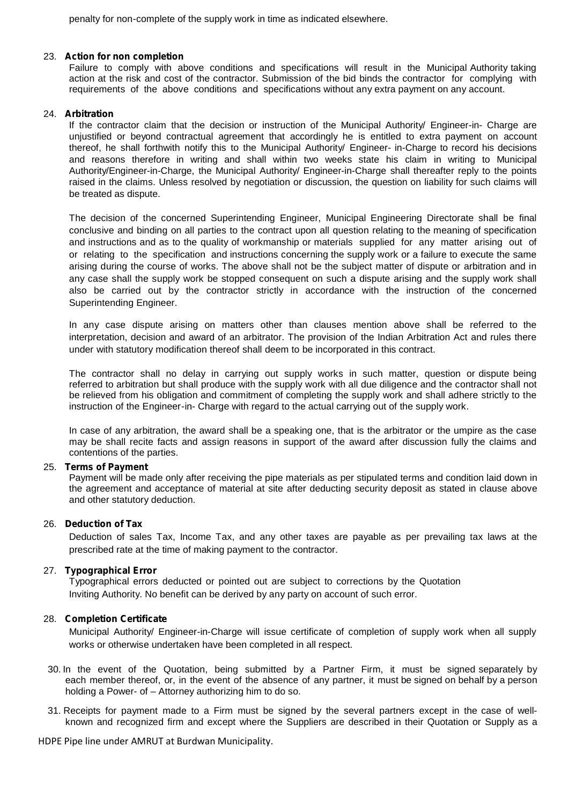penalty for non-complete of the supply work in time as indicated elsewhere.

#### 23. *Action fornon completion*

Failure to comply with above conditions and specifications will result in the Municipal Authority taking action at the risk and cost of the contractor. Submission of the bid binds the contractor for complying with requirements of the above conditions and specifications without any extra payment on any account.

#### 24. *Arbitration*

If the contractor claim that the decision or instruction of the Municipal Authority/ Engineer-in- Charge are unjustified or beyond contractual agreement that accordingly he is entitled to extra payment on account thereof, he shall forthwith notify this to the Municipal Authority/ Engineer- in-Charge to record his decisions and reasons therefore in writing and shall within two weeks state his claim in writing to Municipal Authority/Engineer-in-Charge, the Municipal Authority/ Engineer-in-Charge shall thereafter reply to the points raised in the claims. Unless resolved by negotiation or discussion, the question on liability for such claims will be treated as dispute.

The decision of the concerned Superintending Engineer, Municipal Engineering Directorate shall be final conclusive and binding on all parties to the contract upon all question relating to the meaning of specification and instructions and as to the quality of workmanship or materials supplied for any matter arising out of or relating to the specification and instructions concerning the supply work ora failure to execute the same arising during the course of works. The above shall not be the subject matter of dispute or arbitration and in any case shall the supply work be stopped consequent on such a dispute arising and the supply work shall also be carried out by the contractor strictly in accordance with the instruction of the concerned Superintending Engineer.

In any case dispute arising on matters other than clauses mention above shall be referred to the interpretation, decision and award of an arbitrator. The provision of the Indian Arbitration Act and rules there under with statutory modification thereof shall deem to be incorporated in this contract.

The contractor shall no delay in carrying out supply works in such matter, question or dispute being referred to arbitration but shall produce with the supply work with all due diligence and the contractor shall not be relieved from his obligation and commitment of completing the supply work and shall adhere strictly to the instruction of the Engineer-in- Charge with regard to the actual carrying out of the supply work.

In case of any arbitration, the award shall be a speaking one, that is the arbitrator or the umpire as the case may be shall recite facts and assign reasons in support of the award after discussion fully the claims and contentions of the parties.

#### 25. *Terms of Payment*

Payment will be made only after receiving the pipe materials as per stipulated terms and condition laid down in the agreement and acceptance of material at site after deducting security deposit as stated in clause above and other statutory deduction.

#### 26. *Deduction of Tax*

Deduction of sales Tax, Income Tax, and any other taxes are payable as per prevailing tax laws at the prescribed rate at the time of making payment to the contractor.

#### 27. *Typographical Error*

Typographical errors deducted or pointed out are subject to corrections by the Quotation Inviting Authority. No benefit can be derived by any party on account of such error.

#### 28. *Completion Certificate*

Municipal Authority/ Engineer-in-Charge will issue certificate of completion of supply work when all supply works or otherwise undertaken have been completed in all respect.

- 30. In the event of the Quotation, being submitted by a Partner Firm, it must be signed separately by each member thereof, or, in the event of the absence of any partner, it must be signed on behalf by a person holding a Power- of – Attorney authorizing him to do so.<br>31. Receipts for payment made to a Firm must be signed by the several partners except in the case of well-
- known and recognized firm and except where the Suppliers are described in their Quotation or Supply as a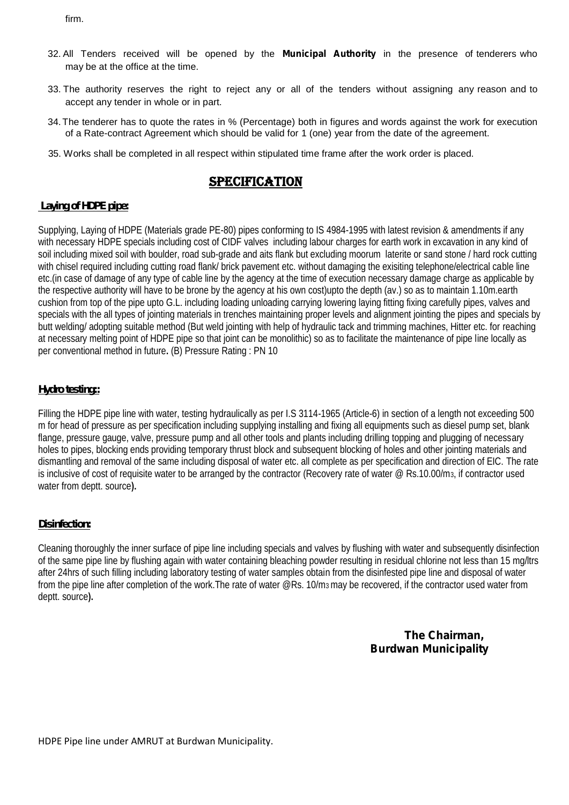firm.

- 32. All Tenders received will be opened by the *Municipal Authority* in the presence of tenderers who may be at the office at the time.
- 33. The authority reserves the right to reject any or all of the tenders without assigning any reason and to accept any tender in whole or in part.
- 34.The tenderer has to quote the rates in % (Percentage) both in figures and words against the work for execution of a Rate-contract Agreement which should be valid for 1 (one) year from the date of the agreement.
- 35. Works shall be completed in all respect within stipulated time frame after the work order is placed.

## **Specification**

#### **Laying of HDPE pipe:**

Supplying, Laying of HDPE (Materials grade PE-80) pipes conforming to IS 4984-1995 with latest revision & amendments if any with necessary HDPE specials including cost of CIDF valves including labour charges for earth work in excavation in any kind of soil including mixed soil with boulder, road sub-grade and aits flank but excluding moorum laterite or sand stone / hard rock cutting with chisel required including cutting road flank/ brick pavement etc. without damaging the exisiting telephone/electrical cable line etc.(in case of damage of any type of cable line by the agency at the time of execution necessary damage charge as applicable by the respective authority will have to be brone by the agency at his own cost)upto the depth (av.) so as to maintain 1.10m.earth cushion from top of the pipe upto G.L. including loading unloading carrying lowering laying fitting fixing carefully pipes, valves and specials with the all types of jointing materials in trenches maintaining proper levels and alignment jointing the pipes and specials by butt welding/ adopting suitable method (But weld jointing with help of hydraulic tack and trimming machines, Hitter etc. for reaching at necessary melting point of HDPE pipe so that joint can be monolithic) so as to facilitate the maintenance of pipe line locally as per conventional method in future**.** (B) Pressure Rating : PN 10

#### **Hydro testing::**

Filling the HDPE pipe line with water, testing hydraulically as per I.S 3114-1965 (Article-6) in section of a length not exceeding 500 m for head of pressure as per specification including supplying installing and fixing all equipments such as diesel pump set, blank flange, pressure gauge, valve, pressure pump and all other tools and plants including drilling topping and plugging of necessary holes to pipes, blocking ends providing temporary thrust block and subsequent blocking of holes and other jointing materials and dismantling and removal of the same including disposal of water etc. all complete as per specification and direction of EIC. The rate is inclusive of cost of requisite water to be arranged by the contractor (Recovery rate of water  $\omega$  Rs.10.00/m<sub>3</sub>, if contractor used water from deptt. source**).**

#### **Disinfection:**

Cleaning thoroughly the inner surface of pipe line including specials and valves by flushing with water and subsequently disinfection of the same pipe line by flushing again with water containing bleaching powder resulting in residual chlorine not less than 15 mg/ltrs after 24hrs of such filling including laboratory testing of water samples obtain from the disinfested pipe line and disposal of water from the pipe line after completion of the work.The rate of water @Rs. 10/m3may be recovered, if the contractor used water from deptt. source**).**

## **The Chairman, Burdwan Municipality**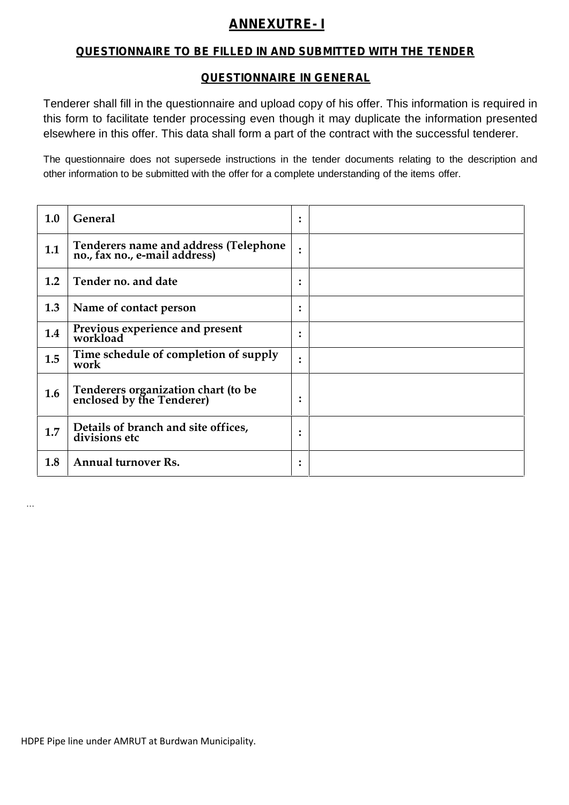## *ANNEXUTRE- I*

## *QUESTIONNAIRE TO BE FILLED IN AND SUBMITTED WITH THE TENDER*

## *QUESTIONNAIRE IN GENERAL*

Tenderer shall fill in the questionnaire and upload copy of his offer. This information is required in this form to facilitate tender processing even though it may duplicate the information presented elsewhere in this offer. This data shall form a part of the contract with the successful tenderer.

The questionnaire does not supersede instructions in the tender documents relating to the description and other information to be submitted with the offer for a complete understanding of the items offer.

| 1.0 | <b>General</b>                                                         | $\bullet$<br>$\bullet$ |  |
|-----|------------------------------------------------------------------------|------------------------|--|
| 1.1 | Tenderers name and address (Telephone<br>no., fax no., e-mail address) | $\bullet$              |  |
| 1.2 | Tender no. and date                                                    | $\bullet$<br>$\bullet$ |  |
| 1.3 | Name of contact person                                                 | $\ddot{\cdot}$         |  |
| 1.4 | Previous experience and present<br>workload                            | $\bullet$<br>$\bullet$ |  |
| 1.5 | Time schedule of completion of supply<br>work                          | $\bullet$<br>$\bullet$ |  |
| 1.6 | Tenderers organization chart (to be enclosed by the Tenderer)          | $\bullet$              |  |
| 1.7 | Details of branch and site offices,<br>divisions etc                   | ٠<br>$\bullet$         |  |
| 1.8 | <b>Annual turnover Rs.</b>                                             | $\bullet$<br>$\bullet$ |  |

HDPE Pipe line under AMRUT at Burdwan Municipality.

…